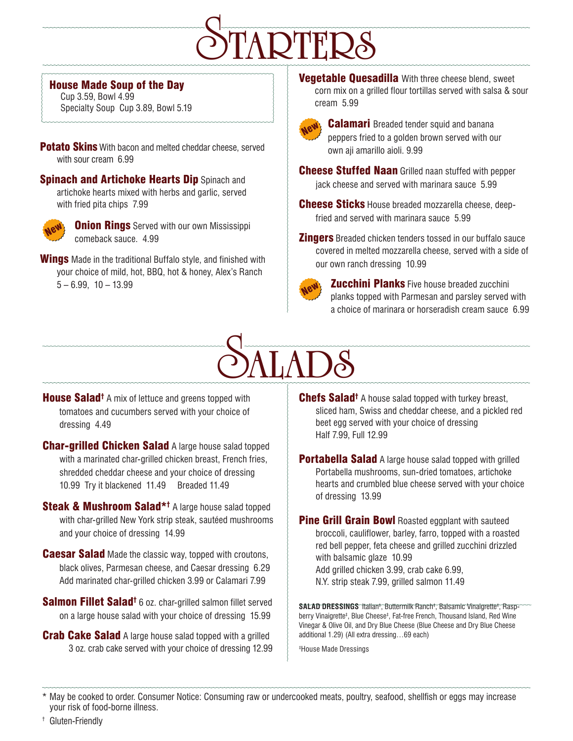# S**TARTERS**

### House Made Soup of the Day

Cup 3.59, Bowl 4.99 Specialty Soup Cup 3.89, Bowl 5.19

Potato Skins With bacon and melted cheddar cheese, served with sour cream 6.99

**Spinach and Artichoke Hearts Dip Spinach and** artichoke hearts mixed with herbs and garlic, served with fried pita chips 7.99



**Onion Rings** Served with our own Mississippi comeback sauce. 4.99

**Wings** Made in the traditional Buffalo style, and finished with your choice of mild, hot, BBQ, hot & honey, Alex's Ranch  $5 - 6.99$ ,  $10 - 13.99$ 

**Vegetable Quesadilla** With three cheese blend, sweet corn mix on a grilled flour tortillas served with salsa & sour cream 5.99



**Calamari** Breaded tender squid and banana peppers fried to a golden brown served with our own aji amarillo aioli. 9.99

**Cheese Stuffed Naan** Grilled naan stuffed with pepper jack cheese and served with marinara sauce 5.99

**Cheese Sticks** House breaded mozzarella cheese, deepfried and served with marinara sauce 5.99

**Zingers** Breaded chicken tenders tossed in our buffalo sauce covered in melted mozzarella cheese, served with a side of our own ranch dressing 10.99



**Zucchini Planks** Five house breaded zucchini planks topped with Parmesan and parsley served with a choice of marinara or horseradish cream sauce 6.99

# S**ALADS**

House Salad<sup>†</sup> A mix of lettuce and greens topped with tomatoes and cucumbers served with your choice of dressing 4.49

**Char-grilled Chicken Salad A large house salad topped** with a marinated char-grilled chicken breast, French fries, shredded cheddar cheese and your choice of dressing 10.99 Try it blackened 11.49 Breaded 11.49

Steak & Mushroom Salad<sup>\*†</sup> A large house salad topped with char-grilled New York strip steak, sautéed mushrooms and your choice of dressing 14.99

**Caesar Salad** Made the classic way, topped with croutons, black olives, Parmesan cheese, and Caesar dressing 6.29 Add marinated char-grilled chicken 3.99 or Calamari 7.99

Salmon Fillet Salad<sup>†</sup> 6 oz. char-grilled salmon fillet served on a large house salad with your choice of dressing 15.99

**Crab Cake Salad** A large house salad topped with a grilled 3 oz. crab cake served with your choice of dressing 12.99 Chefs Salad<sup>†</sup> A house salad topped with turkey breast, sliced ham, Swiss and cheddar cheese, and a pickled red beet egg served with your choice of dressing Half 7.99, Full 12.99

**Portabella Salad** A large house salad topped with grilled Portabella mushrooms, sun-dried tomatoes, artichoke hearts and crumbled blue cheese served with your choice of dressing 13.99

**Pine Grill Grain Bowl Roasted eggplant with sauteed** broccoli, cauliflower, barley, farro, topped with a roasted red bell pepper, feta cheese and grilled zucchini drizzled with balsamic glaze 10.99

Add grilled chicken 3.99, crab cake 6.99, N.Y. strip steak 7.99, grilled salmon 11.49

**SALAD DRESSINGS**^Italian‡,^Buttermilk^Ranch‡,^Balsamic^Vinaigrette‡,^Rasp= berry Vinaigrette‡ , Blue Cheese‡ , Fat-free French, Thousand Island, Red Wine Vinegar & Olive Oil, and Dry Blue Cheese (Blue Cheese and Dry Blue Cheese additional 1.29) (All extra dressing…69 each)

‡ House Made Dressings

May be cooked to order. Consumer Notice: Consuming raw or undercooked meats, poultry, seafood, shellfish or eggs may increase your risk of food-borne illness.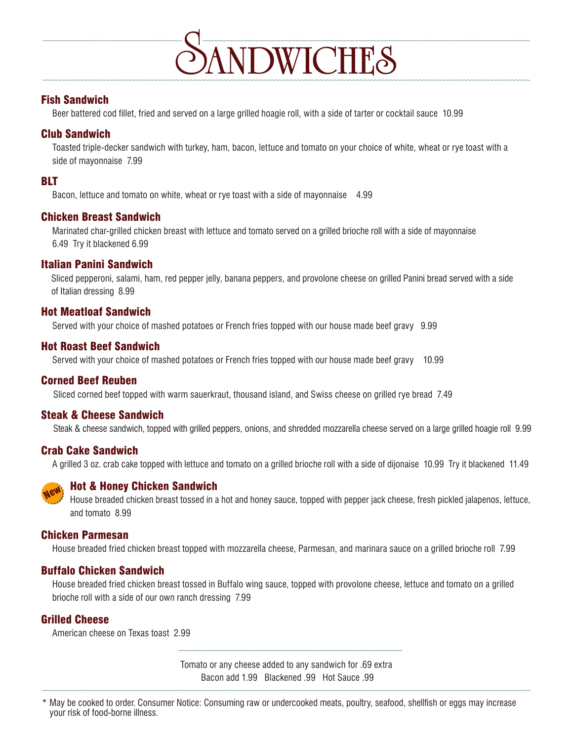

### Fish Sandwich

Beer battered cod fillet, fried and served on a large grilled hoagie roll, with a side of tarter or cocktail sauce 10.99

### Club Sandwich

Toasted triple-decker sandwich with turkey, ham, bacon, lettuce and tomato on your choice of white, wheat or rye toast with a side of mayonnaise 7.99

### BLT

Bacon, lettuce and tomato on white, wheat or rye toast with a side of mayonnaise 4.99

### Chicken Breast Sandwich

Marinated char-grilled chicken breast with lettuce and tomato served on a grilled brioche roll with a side of mayonnaise 6.49 Try it blackened 6.99

### Italian Panini Sandwich

Sliced pepperoni, salami, ham, red pepper jelly, banana peppers, and provolone cheese on grilled Panini bread served with a side of Italian dressing 8.99

### Hot Meatloaf Sandwich

Served with your choice of mashed potatoes or French fries topped with our house made beef gravy 9.99

### Hot Roast Beef Sandwich

Served with your choice of mashed potatoes or French fries topped with our house made beef gravy 10.99

### Corned Beef Reuben

Sliced corned beef topped with warm sauerkraut, thousand island, and Swiss cheese on grilled rye bread 7.49

### Steak & Cheese Sandwich

Steak & cheese sandwich, topped with grilled peppers, onions, and shredded mozzarella cheese served on a large grilled hoagie roll 9.99

### Crab Cake Sandwich

A grilled 3 oz. crab cake topped with lettuce and tomato on a grilled brioche roll with a side of dijonaise 10.99 Try it blackened 11.49



### Hot & Honey Chicken Sandwich

House breaded chicken breast tossed in a hot and honey sauce, topped with pepper jack cheese, fresh pickled jalapenos, lettuce, and tomato 8.99

### Chicken Parmesan

House breaded fried chicken breast topped with mozzarella cheese, Parmesan, and marinara sauce on a grilled brioche roll 7.99

### Buffalo Chicken Sandwich

House breaded fried chicken breast tossed in Buffalo wing sauce, topped with provolone cheese, lettuce and tomato on a grilled brioche roll with a side of our own ranch dressing 7.99

### Grilled Cheese

American cheese on Texas toast 2.99

Tomato or any cheese added to any sandwich for .69 extra Bacon add 1.99 Blackened .99 Hot Sauce .99

May be cooked to order. Consumer Notice: Consuming raw or undercooked meats, poultry, seafood, shellfish or eggs may increase your risk of food-borne illness.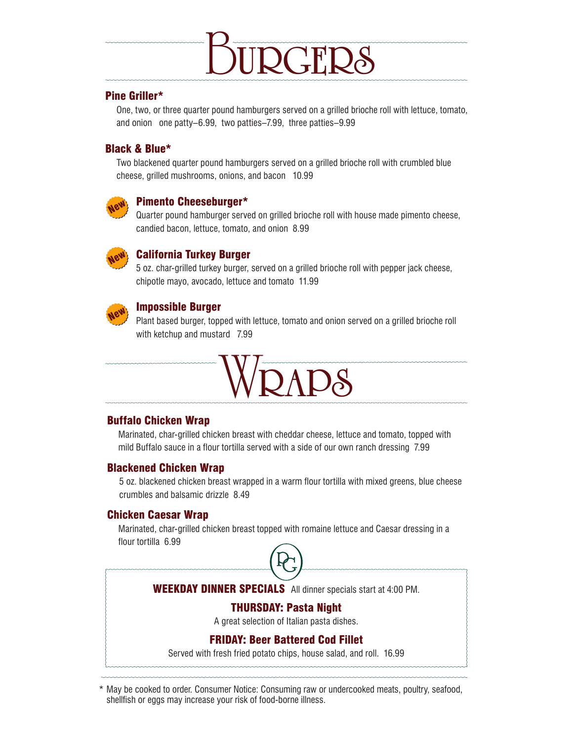

### Pine Griller\*

One, two, or three quarter pound hamburgers served on a grilled brioche roll with lettuce, tomato, and onion one patty–6.99, two patties–7.99, three patties–9.99

### Black & Blue\*

Two blackened quarter pound hamburgers served on a grilled brioche roll with crumbled blue cheese, grilled mushrooms, onions, and bacon 10.99



### Pimento Cheeseburger\*

Quarter pound hamburger served on grilled brioche roll with house made pimento cheese, candied bacon, lettuce, tomato, and onion 8.99



### California Turkey Burger

5 oz. char-grilled turkey burger, served on a grilled brioche roll with pepper jack cheese, chipotle mayo, avocado, lettuce and tomato 11.99



### Impossible Burger

Plant based burger, topped with lettuce, tomato and onion served on a grilled brioche roll with ketchup and mustard 7.99



### Buffalo Chicken Wrap

Marinated, char-grilled chicken breast with cheddar cheese, lettuce and tomato, topped with mild Buffalo sauce in a flour tortilla served with a side of our own ranch dressing 7.99

### Blackened Chicken Wrap

5 oz. blackened chicken breast wrapped in a warm flour tortilla with mixed greens, blue cheese crumbles and balsamic drizzle 8.49

### Chicken Caesar Wrap

Marinated, char-grilled chicken breast topped with romaine lettuce and Caesar dressing in a flour tortilla 6.99



### WEEKDAY DINNER SPECIALS All dinner specials start at 4:00 PM.

### THURSDAY: Pasta Night

A great selection of Italian pasta dishes.

### FRIDAY: Beer Battered Cod Fillet

Served with fresh fried potato chips, house salad, and roll. 16.99

May be cooked to order. Consumer Notice: Consuming raw or undercooked meats, poultry, seafood, shellfish or eggs may increase your risk of food-borne illness.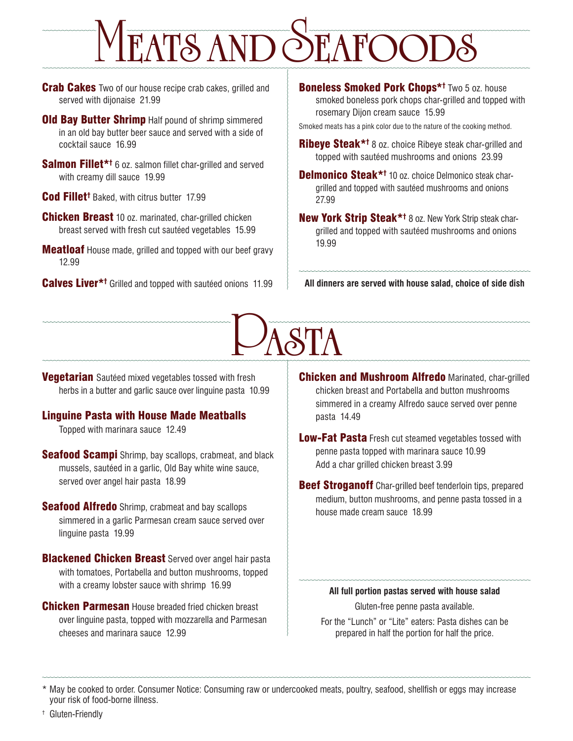# M**EATS AND** S**EAFOODS**

**Crab Cakes** Two of our house recipe crab cakes, grilled and served with dijonaise 21.99

**Old Bay Butter Shrimp** Half pound of shrimp simmered in an old bay butter beer sauce and served with a side of cocktail sauce 16.99

Salmon Fillet\*† 6 oz. salmon fillet char-grilled and served with creamy dill sauce 19.99

Cod Fillet<sup>t</sup> Baked, with citrus butter 17.99

**Chicken Breast** 10 oz. marinated, char-grilled chicken breast served with fresh cut sautéed vegetables 15.99

**Meatloaf** House made, grilled and topped with our beef gravy 12.99

Calves Liver\*<sup>†</sup> Grilled and topped with sautéed onions 11.99

Boneless Smoked Pork Chops\*† Two 5 oz. house smoked boneless pork chops char-grilled and topped with rosemary Dijon cream sauce 15.99

Smoked meats has a pink color due to the nature of the cooking method.

Ribeye Steak\*t 8 oz. choice Ribeye steak char-grilled and topped with sautéed mushrooms and onions 23.99

Delmonico Steak\*t 10 oz. choice Delmonico steak chargrilled and topped with sautéed mushrooms and onions 27.99

New York Strip Steak\*<sup>†</sup> 8 oz. New York Strip steak chargrilled and topped with sautéed mushrooms and onions 19.99

**All dinners are served with house salad, choice of side dish**

# P**ASTA**

**Vegetarian** Sautéed mixed vegetables tossed with fresh herbs in a butter and garlic sauce over linguine pasta 10.99

### Linguine Pasta with House Made Meatballs

Topped with marinara sauce 12.49

**Seafood Scampi** Shrimp, bay scallops, crabmeat, and black mussels, sautéed in a garlic, Old Bay white wine sauce, served over angel hair pasta 18.99

**Seafood Alfredo** Shrimp, crabmeat and bay scallops simmered in a garlic Parmesan cream sauce served over linguine pasta 19.99

**Blackened Chicken Breast** Served over angel hair pasta with tomatoes, Portabella and button mushrooms, topped with a creamy lobster sauce with shrimp 16.99

**Chicken Parmesan** House breaded fried chicken breast over linguine pasta, topped with mozzarella and Parmesan cheeses and marinara sauce 12.99

**Chicken and Mushroom Alfredo Marinated, char-grilled** chicken breast and Portabella and button mushrooms simmered in a creamy Alfredo sauce served over penne pasta 14.49

**Low-Fat Pasta** Fresh cut steamed vegetables tossed with penne pasta topped with marinara sauce 10.99 Add a char grilled chicken breast 3.99

**Beef Stroganoff** Char-grilled beef tenderloin tips, prepared medium, button mushrooms, and penne pasta tossed in a house made cream sauce 18.99

### **All full portion pastas served with house salad**

Gluten-free penne pasta available.

For the "Lunch" or "Lite" eaters: Pasta dishes can be prepared in half the portion for half the price.

\* May be cooked to order. Consumer Notice: Consuming raw or undercooked meats, poultry, seafood, shellfish or eggs may increase your risk of food-borne illness.

† Gluten-Friendly